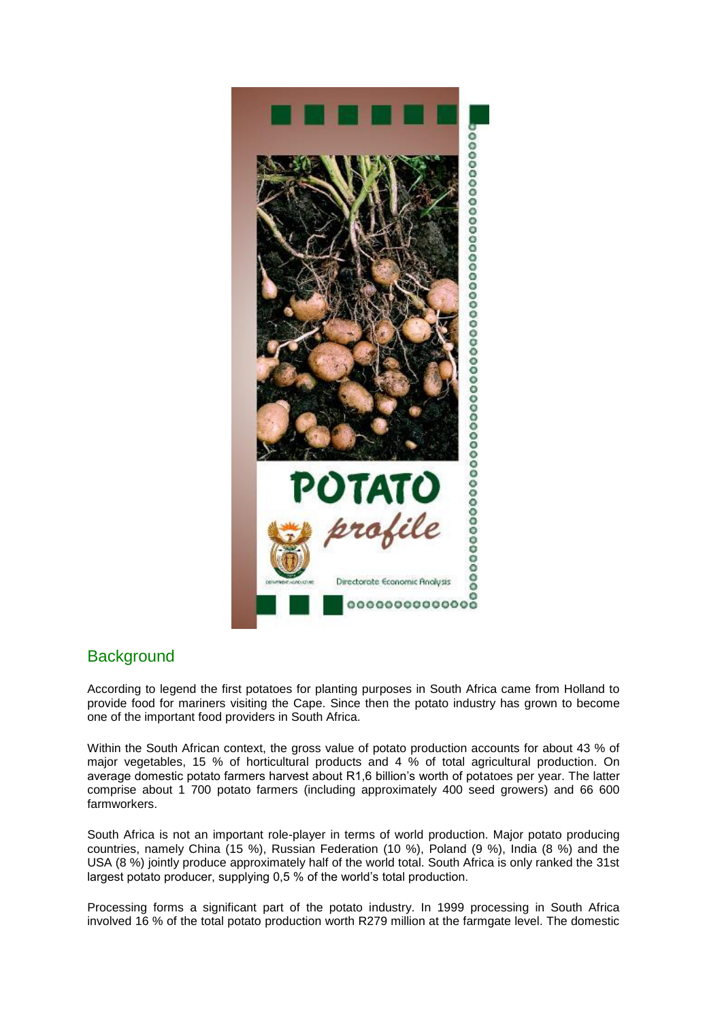

# **Background**

According to legend the first potatoes for planting purposes in South Africa came from Holland to provide food for mariners visiting the Cape. Since then the potato industry has grown to become one of the important food providers in South Africa.

Within the South African context, the gross value of potato production accounts for about 43 % of major vegetables, 15 % of horticultural products and 4 % of total agricultural production. On average domestic potato farmers harvest about R1,6 billion's worth of potatoes per year. The latter comprise about 1 700 potato farmers (including approximately 400 seed growers) and 66 600 farmworkers.

South Africa is not an important role-player in terms of world production. Major potato producing countries, namely China (15 %), Russian Federation (10 %), Poland (9 %), India (8 %) and the USA (8 %) jointly produce approximately half of the world total. South Africa is only ranked the 31st largest potato producer, supplying 0,5 % of the world's total production.

Processing forms a significant part of the potato industry. In 1999 processing in South Africa involved 16 % of the total potato production worth R279 million at the farmgate level. The domestic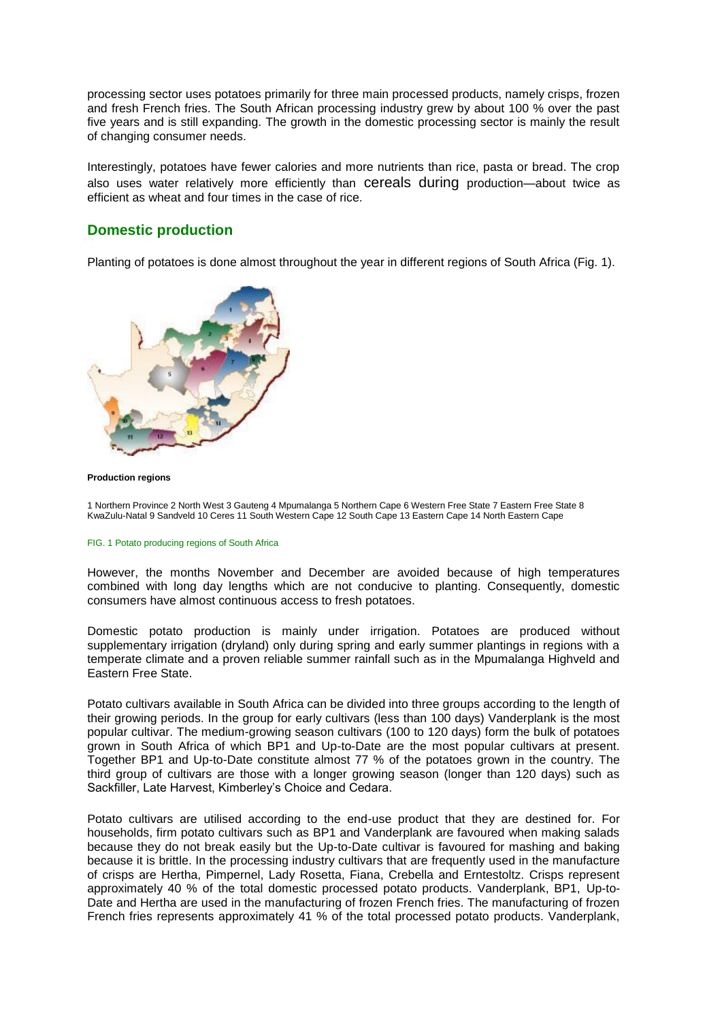processing sector uses potatoes primarily for three main processed products, namely crisps, frozen and fresh French fries. The South African processing industry grew by about 100 % over the past five years and is still expanding. The growth in the domestic processing sector is mainly the result of changing consumer needs.

Interestingly, potatoes have fewer calories and more nutrients than rice, pasta or bread. The crop also uses water relatively more efficiently than cereals during production—about twice as efficient as wheat and four times in the case of rice.

## **Domestic production**

Planting of potatoes is done almost throughout the year in different regions of South Africa (Fig. 1).



#### **Production regions**

1 Northern Province 2 North West 3 Gauteng 4 Mpumalanga 5 Northern Cape 6 Western Free State 7 Eastern Free State 8 KwaZulu-Natal 9 Sandveld 10 Ceres 11 South Western Cape 12 South Cape 13 Eastern Cape 14 North Eastern Cape

### FIG. 1 Potato producing regions of South Africa

However, the months November and December are avoided because of high temperatures combined with long day lengths which are not conducive to planting. Consequently, domestic consumers have almost continuous access to fresh potatoes.

Domestic potato production is mainly under irrigation. Potatoes are produced without supplementary irrigation (dryland) only during spring and early summer plantings in regions with a temperate climate and a proven reliable summer rainfall such as in the Mpumalanga Highveld and Eastern Free State.

Potato cultivars available in South Africa can be divided into three groups according to the length of their growing periods. In the group for early cultivars (less than 100 days) Vanderplank is the most popular cultivar. The medium-growing season cultivars (100 to 120 days) form the bulk of potatoes grown in South Africa of which BP1 and Up-to-Date are the most popular cultivars at present. Together BP1 and Up-to-Date constitute almost 77 % of the potatoes grown in the country. The third group of cultivars are those with a longer growing season (longer than 120 days) such as Sackfiller, Late Harvest, Kimberley's Choice and Cedara.

Potato cultivars are utilised according to the end-use product that they are destined for. For households, firm potato cultivars such as BP1 and Vanderplank are favoured when making salads because they do not break easily but the Up-to-Date cultivar is favoured for mashing and baking because it is brittle. In the processing industry cultivars that are frequently used in the manufacture of crisps are Hertha, Pimpernel, Lady Rosetta, Fiana, Crebella and Erntestoltz. Crisps represent approximately 40 % of the total domestic processed potato products. Vanderplank, BP1, Up-to-Date and Hertha are used in the manufacturing of frozen French fries. The manufacturing of frozen French fries represents approximately 41 % of the total processed potato products. Vanderplank,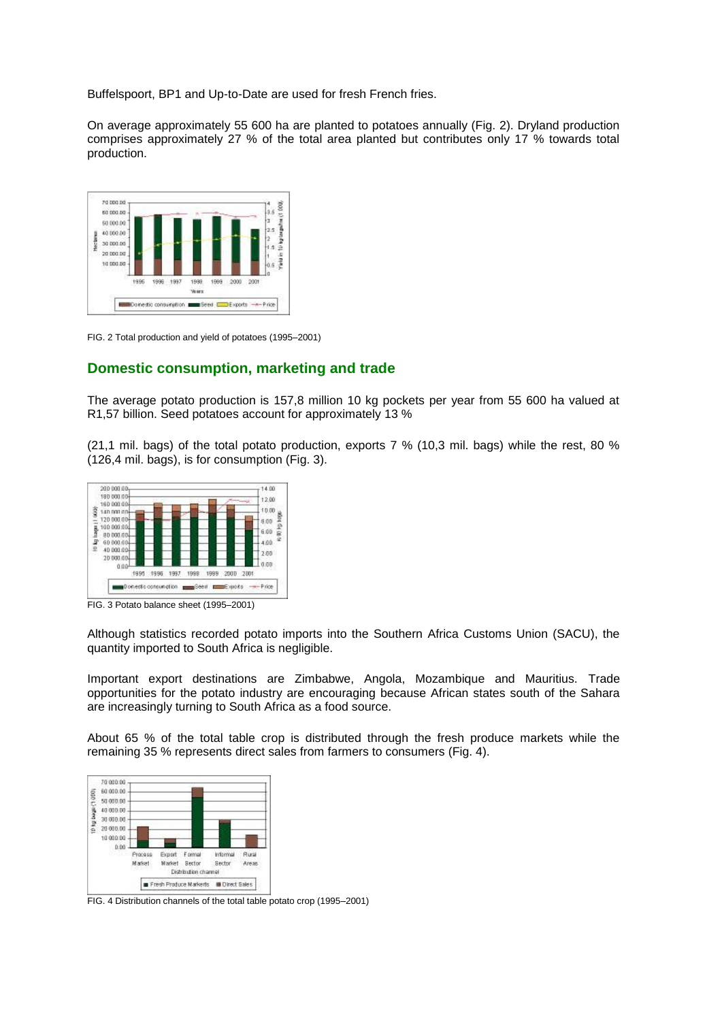Buffelspoort, BP1 and Up-to-Date are used for fresh French fries.

On average approximately 55 600 ha are planted to potatoes annually (Fig. 2). Dryland production comprises approximately 27 % of the total area planted but contributes only 17 % towards total production.



FIG. 2 Total production and yield of potatoes (1995–2001)

### **Domestic consumption, marketing and trade**

The average potato production is 157,8 million 10 kg pockets per year from 55 600 ha valued at R1,57 billion. Seed potatoes account for approximately 13 %

(21,1 mil. bags) of the total potato production, exports 7 % (10,3 mil. bags) while the rest, 80 % (126,4 mil. bags), is for consumption (Fig. 3).



FIG. 3 Potato balance sheet (1995–2001)

Although statistics recorded potato imports into the Southern Africa Customs Union (SACU), the quantity imported to South Africa is negligible.

Important export destinations are Zimbabwe, Angola, Mozambique and Mauritius. Trade opportunities for the potato industry are encouraging because African states south of the Sahara are increasingly turning to South Africa as a food source.

About 65 % of the total table crop is distributed through the fresh produce markets while the remaining 35 % represents direct sales from farmers to consumers (Fig. 4).



FIG. 4 Distribution channels of the total table potato crop (1995–2001)